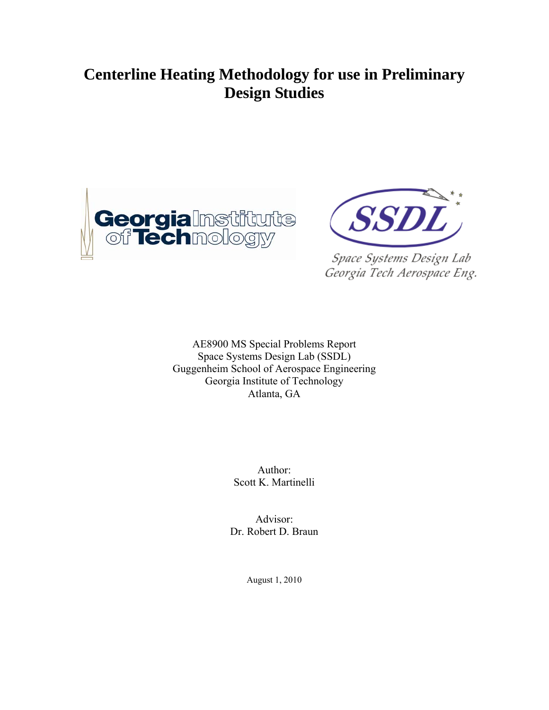# **Centerline Heating Methodology for use in Preliminary Design Studies**





Space Systems Design Lab Georgia Tech Aerospace Eng.

AE8900 MS Special Problems Report Space Systems Design Lab (SSDL) Guggenheim School of Aerospace Engineering Georgia Institute of Technology Atlanta, GA

> Author: Scott K. Martinelli

Advisor: Dr. Robert D. Braun

August 1, 2010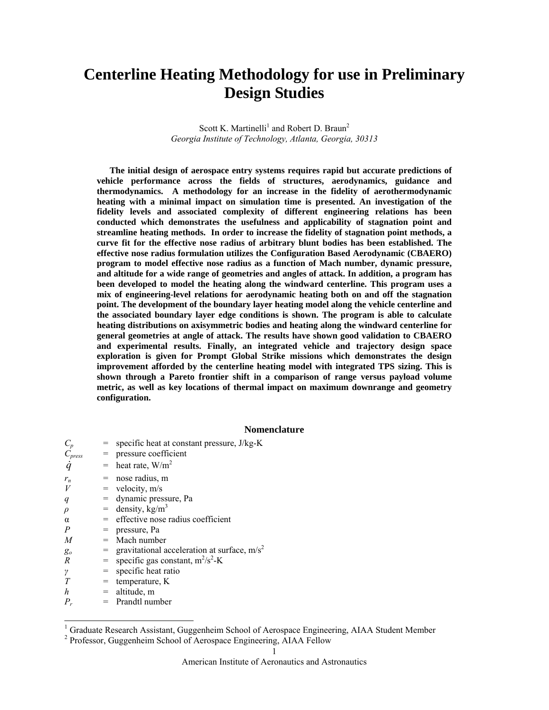## **Centerline Heating Methodology for use in Preliminary Design Studies**

Scott K. Martinelli<sup>1</sup> and Robert D. Braun<sup>2</sup> *Georgia Institute of Technology, Atlanta, Georgia, 30313* 

**The initial design of aerospace entry systems requires rapid but accurate predictions of vehicle performance across the fields of structures, aerodynamics, guidance and thermodynamics. A methodology for an increase in the fidelity of aerothermodynamic heating with a minimal impact on simulation time is presented. An investigation of the fidelity levels and associated complexity of different engineering relations has been conducted which demonstrates the usefulness and applicability of stagnation point and streamline heating methods. In order to increase the fidelity of stagnation point methods, a curve fit for the effective nose radius of arbitrary blunt bodies has been established. The effective nose radius formulation utilizes the Configuration Based Aerodynamic (CBAERO) program to model effective nose radius as a function of Mach number, dynamic pressure, and altitude for a wide range of geometries and angles of attack. In addition, a program has been developed to model the heating along the windward centerline. This program uses a mix of engineering-level relations for aerodynamic heating both on and off the stagnation point. The development of the boundary layer heating model along the vehicle centerline and the associated boundary layer edge conditions is shown. The program is able to calculate heating distributions on axisymmetric bodies and heating along the windward centerline for general geometries at angle of attack. The results have shown good validation to CBAERO and experimental results. Finally, an integrated vehicle and trajectory design space exploration is given for Prompt Global Strike missions which demonstrates the design improvement afforded by the centerline heating model with integrated TPS sizing. This is shown through a Pareto frontier shift in a comparison of range versus payload volume metric, as well as key locations of thermal impact on maximum downrange and geometry configuration.** 

## **Nomenclature**

| $C_p$            |     | specific heat at constant pressure, J/kg-K       |
|------------------|-----|--------------------------------------------------|
| $C_{press}$      |     | $=$ pressure coefficient                         |
| $\dot{q}$        |     | $=$ heat rate, W/m <sup>2</sup>                  |
| $r_n$            |     | $=$ nose radius, m                               |
| V                |     | $=$ velocity, m/s                                |
| $\boldsymbol{q}$ |     | = dynamic pressure, Pa                           |
| $\rho$           |     | $=$ density, kg/m <sup>3</sup>                   |
| $\alpha$         |     | $=$ effective nose radius coefficient            |
| $\boldsymbol{P}$ |     | $=$ pressure, Pa                                 |
| M                |     | $=$ Mach number                                  |
| $g_{o}$          |     | = gravitational acceleration at surface, $m/s^2$ |
| R                |     | = specific gas constant, $m^2/s^2$ -K            |
| γ                | $=$ | specific heat ratio                              |
| T                |     | $=$ temperature, K                               |
| h                |     | $=$ altitude, m                                  |
| $P_r$            |     | $=$ Prandtl number                               |
|                  |     |                                                  |

<sup>1&</sup>lt;br>
<sup>1</sup> Graduate Research Assistant, Guggenheim School of Aerospace Engineering, AIAA Student Member<br>
<sup>2</sup> Professor, Guggenheim School of Aerospace Engineering, AIAA Fellow

<sup>2</sup> Professor, Guggenheim School of Aerospace Engineering, AIAA Fellow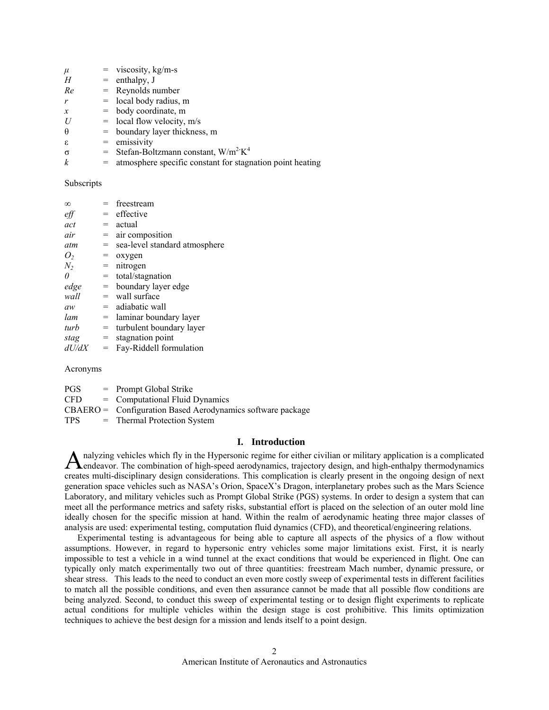| $\mu$     | $=$ viscosity, kg/m-s                                           |
|-----------|-----------------------------------------------------------------|
| H         | $=$ enthalpy, J                                                 |
| Re        | $=$ Reynolds number                                             |
| r         | $=$ local body radius, m                                        |
| x         | $=$ body coordinate, m                                          |
| $\bar{U}$ | $=$ local flow velocity, m/s                                    |
| θ         | $=$ boundary layer thickness, m                                 |
| ε         | $=$ emissivity                                                  |
| σ         | $=$ Stefan-Boltzmann constant, W/m <sup>2-</sup> K <sup>4</sup> |
|           |                                                                 |

*k* = atmosphere specific constant for stagnation point heating

## Subscripts

| $\infty$       |     | freestream                    |  |  |
|----------------|-----|-------------------------------|--|--|
| eff            |     | effective                     |  |  |
| act            | $=$ | actual                        |  |  |
| air            | $=$ | air composition               |  |  |
| atm            | $=$ | sea-level standard atmosphere |  |  |
| O <sub>2</sub> |     | oxygen                        |  |  |
| N <sub>2</sub> | $=$ | nitrogen                      |  |  |
| $\theta$       | =   | total/stagnation              |  |  |
| edge           | $=$ | boundary layer edge           |  |  |
| wall           | $=$ | wall surface                  |  |  |
| aw             | $=$ | adiabatic wall                |  |  |
| lam            | $=$ | laminar boundary layer        |  |  |
| turb           | $=$ | turbulent boundary layer      |  |  |
| stag           | $=$ | stagnation point              |  |  |
| dU/dX          | $=$ | Fay-Riddell formulation       |  |  |

Acronyms

| PGS  | = Prompt Global Strike                                       |
|------|--------------------------------------------------------------|
| CFD. | $=$ Computational Fluid Dynamics                             |
|      | $CBAERO =$ Configuration Based Aerodynamics software package |
| TPS. | = Thermal Protection System                                  |

## **I. Introduction**

nalyzing vehicles which fly in the Hypersonic regime for either civilian or military application is a complicated A nalyzing vehicles which fly in the Hypersonic regime for either civilian or military application is a complicated endeavor. The combination of high-speed aerodynamics, trajectory design, and high-enthalpy thermodynamics creates multi-disciplinary design considerations. This complication is clearly present in the ongoing design of next generation space vehicles such as NASA's Orion, SpaceX's Dragon, interplanetary probes such as the Mars Science Laboratory, and military vehicles such as Prompt Global Strike (PGS) systems. In order to design a system that can meet all the performance metrics and safety risks, substantial effort is placed on the selection of an outer mold line ideally chosen for the specific mission at hand. Within the realm of aerodynamic heating three major classes of analysis are used: experimental testing, computation fluid dynamics (CFD), and theoretical/engineering relations.

Experimental testing is advantageous for being able to capture all aspects of the physics of a flow without assumptions. However, in regard to hypersonic entry vehicles some major limitations exist. First, it is nearly impossible to test a vehicle in a wind tunnel at the exact conditions that would be experienced in flight. One can typically only match experimentally two out of three quantities: freestream Mach number, dynamic pressure, or shear stress. This leads to the need to conduct an even more costly sweep of experimental tests in different facilities to match all the possible conditions, and even then assurance cannot be made that all possible flow conditions are being analyzed. Second, to conduct this sweep of experimental testing or to design flight experiments to replicate actual conditions for multiple vehicles within the design stage is cost prohibitive. This limits optimization techniques to achieve the best design for a mission and lends itself to a point design.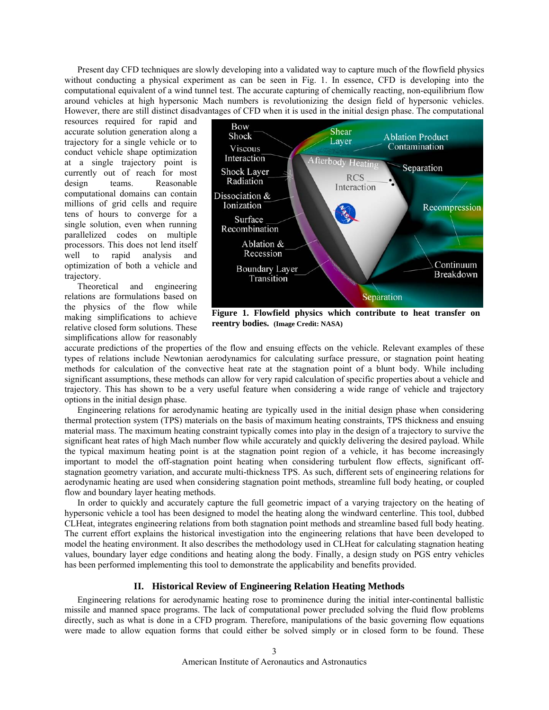Present day CFD techniques are slowly developing into a validated way to capture much of the flowfield physics without conducting a physical experiment as can be seen in Fig. 1. In essence, CFD is developing into the computational equivalent of a wind tunnel test. The accurate capturing of chemically reacting, non-equilibrium flow around vehicles at high hypersonic Mach numbers is revolutionizing the design field of hypersonic vehicles. However, there are still distinct disadvantages of CFD when it is used in the initial design phase. The computational

resources required for rapid and accurate solution generation along a trajectory for a single vehicle or to conduct vehicle shape optimization at a single trajectory point is currently out of reach for most design teams. Reasonable computational domains can contain millions of grid cells and require tens of hours to converge for a single solution, even when running parallelized codes on multiple processors. This does not lend itself well to rapid analysis and optimization of both a vehicle and trajectory.

Theoretical and engineering relations are formulations based on the physics of the flow while making simplifications to achieve relative closed form solutions. These simplifications allow for reasonably



**Figure 1. Flowfield physics which contribute to heat transfer on reentry bodies. (Image Credit: NASA)**

accurate predictions of the properties of the flow and ensuing effects on the vehicle. Relevant examples of these types of relations include Newtonian aerodynamics for calculating surface pressure, or stagnation point heating methods for calculation of the convective heat rate at the stagnation point of a blunt body. While including significant assumptions, these methods can allow for very rapid calculation of specific properties about a vehicle and trajectory. This has shown to be a very useful feature when considering a wide range of vehicle and trajectory options in the initial design phase.

Engineering relations for aerodynamic heating are typically used in the initial design phase when considering thermal protection system (TPS) materials on the basis of maximum heating constraints, TPS thickness and ensuing material mass. The maximum heating constraint typically comes into play in the design of a trajectory to survive the significant heat rates of high Mach number flow while accurately and quickly delivering the desired payload. While the typical maximum heating point is at the stagnation point region of a vehicle, it has become increasingly important to model the off-stagnation point heating when considering turbulent flow effects, significant offstagnation geometry variation, and accurate multi-thickness TPS. As such, different sets of engineering relations for aerodynamic heating are used when considering stagnation point methods, streamline full body heating, or coupled flow and boundary layer heating methods.

In order to quickly and accurately capture the full geometric impact of a varying trajectory on the heating of hypersonic vehicle a tool has been designed to model the heating along the windward centerline. This tool, dubbed CLHeat, integrates engineering relations from both stagnation point methods and streamline based full body heating. The current effort explains the historical investigation into the engineering relations that have been developed to model the heating environment. It also describes the methodology used in CLHeat for calculating stagnation heating values, boundary layer edge conditions and heating along the body. Finally, a design study on PGS entry vehicles has been performed implementing this tool to demonstrate the applicability and benefits provided.

## **II. Historical Review of Engineering Relation Heating Methods**

Engineering relations for aerodynamic heating rose to prominence during the initial inter-continental ballistic missile and manned space programs. The lack of computational power precluded solving the fluid flow problems directly, such as what is done in a CFD program. Therefore, manipulations of the basic governing flow equations were made to allow equation forms that could either be solved simply or in closed form to be found. These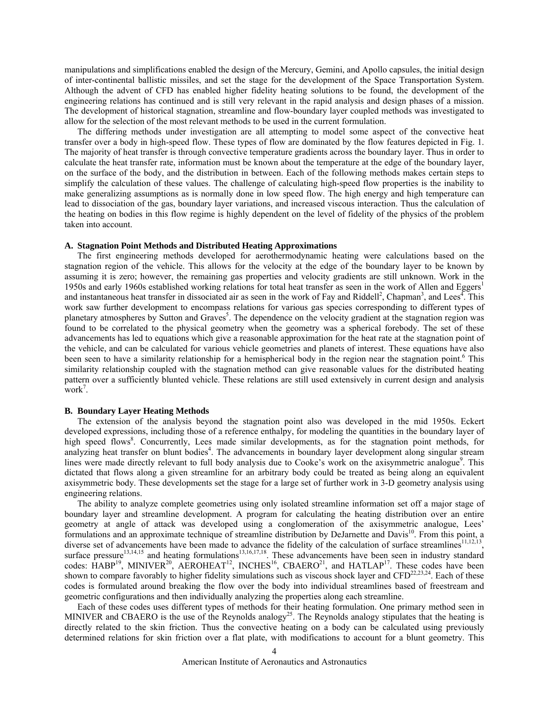manipulations and simplifications enabled the design of the Mercury, Gemini, and Apollo capsules, the initial design of inter-continental ballistic missiles, and set the stage for the development of the Space Transportation System. Although the advent of CFD has enabled higher fidelity heating solutions to be found, the development of the engineering relations has continued and is still very relevant in the rapid analysis and design phases of a mission. The development of historical stagnation, streamline and flow-boundary layer coupled methods was investigated to allow for the selection of the most relevant methods to be used in the current formulation.

The differing methods under investigation are all attempting to model some aspect of the convective heat transfer over a body in high-speed flow. These types of flow are dominated by the flow features depicted in Fig. 1. The majority of heat transfer is through convective temperature gradients across the boundary layer. Thus in order to calculate the heat transfer rate, information must be known about the temperature at the edge of the boundary layer, on the surface of the body, and the distribution in between. Each of the following methods makes certain steps to simplify the calculation of these values. The challenge of calculating high-speed flow properties is the inability to make generalizing assumptions as is normally done in low speed flow. The high energy and high temperature can lead to dissociation of the gas, boundary layer variations, and increased viscous interaction. Thus the calculation of the heating on bodies in this flow regime is highly dependent on the level of fidelity of the physics of the problem taken into account.

## **A. Stagnation Point Methods and Distributed Heating Approximations**

The first engineering methods developed for aerothermodynamic heating were calculations based on the stagnation region of the vehicle. This allows for the velocity at the edge of the boundary layer to be known by assuming it is zero; however, the remaining gas properties and velocity gradients are still unknown. Work in the 1950s and early 1960s established working relations for total heat transfer as seen in the work of Allen and Eggers<sup>1</sup> and instantaneous heat transfer in dissociated air as seen in the work of Fay and Riddell<sup>2</sup>, Chapman<sup>3</sup>, and Lees<sup>4</sup>. This work saw further development to encompass relations for various gas species corresponding to different types of planetary atmospheres by Sutton and Graves<sup>5</sup>. The dependence on the velocity gradient at the stagnation region was found to be correlated to the physical geometry when the geometry was a spherical forebody. The set of these advancements has led to equations which give a reasonable approximation for the heat rate at the stagnation point of the vehicle, and can be calculated for various vehicle geometries and planets of interest. These equations have also been seen to have a similarity relationship for a hemispherical body in the region near the stagnation point.<sup>6</sup> This similarity relationship coupled with the stagnation method can give reasonable values for the distributed heating pattern over a sufficiently blunted vehicle. These relations are still used extensively in current design and analysis work<sup>7</sup>.

#### **B. Boundary Layer Heating Methods**

The extension of the analysis beyond the stagnation point also was developed in the mid 1950s. Eckert developed expressions, including those of a reference enthalpy, for modeling the quantities in the boundary layer of high speed flows<sup>8</sup>. Concurrently, Lees made similar developments, as for the stagnation point methods, for analyzing heat transfer on blunt bodies<sup>4</sup>. The advancements in boundary layer development along singular stream lines were made directly relevant to full body analysis due to Cooke's work on the axisymmetric analogue<sup>9</sup>. This dictated that flows along a given streamline for an arbitrary body could be treated as being along an equivalent axisymmetric body. These developments set the stage for a large set of further work in 3-D geometry analysis using engineering relations.

The ability to analyze complete geometries using only isolated streamline information set off a major stage of boundary layer and streamline development. A program for calculating the heating distribution over an entire geometry at angle of attack was developed using a conglomeration of the axisymmetric analogue, Lees' formulations and an approximate technique of streamline distribution by DeJarnette and Davis<sup>10</sup>. From this point, a diverse set of advancements have been made to advance the fidelity of the calculation of surface streamlines $11,12,13$ , surface pressure<sup>13,14,15</sup> and heating formulations<sup>13,16,17,18</sup>. These advancements have been seen in industry standard codes:  $HABP<sup>19</sup>$ , MINIVER<sup>20</sup>, AEROHEAT<sup>12</sup>, INCHES<sup>16</sup>, CBAERO<sup>21</sup>, and HATLAP<sup>17</sup>. These codes have been shown to compare favorably to higher fidelity simulations such as viscous shock layer and  $CFD<sup>22,23,24</sup>$ . Each of these codes is formulated around breaking the flow over the body into individual streamlines based of freestream and geometric configurations and then individually analyzing the properties along each streamline.

Each of these codes uses different types of methods for their heating formulation. One primary method seen in MINIVER and CBAERO is the use of the Reynolds analogy<sup>25</sup>. The Reynolds analogy stipulates that the heating is directly related to the skin friction. Thus the convective heating on a body can be calculated using previously determined relations for skin friction over a flat plate, with modifications to account for a blunt geometry. This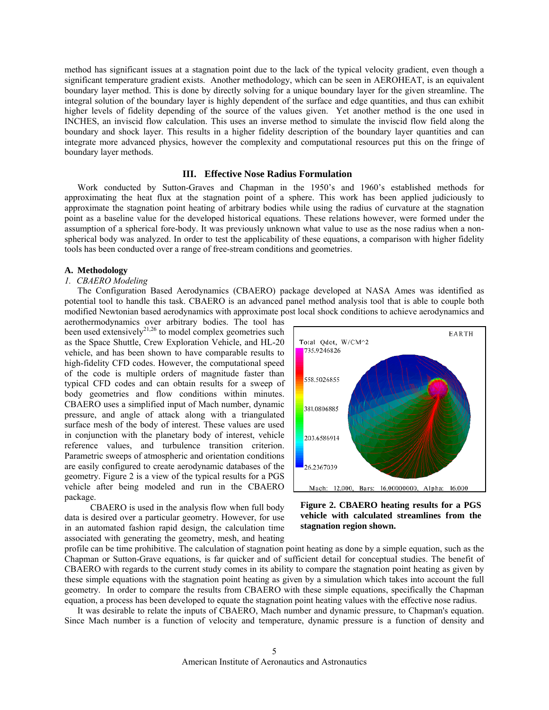method has significant issues at a stagnation point due to the lack of the typical velocity gradient, even though a significant temperature gradient exists. Another methodology, which can be seen in AEROHEAT, is an equivalent boundary layer method. This is done by directly solving for a unique boundary layer for the given streamline. The integral solution of the boundary layer is highly dependent of the surface and edge quantities, and thus can exhibit higher levels of fidelity depending of the source of the values given. Yet another method is the one used in INCHES, an inviscid flow calculation. This uses an inverse method to simulate the inviscid flow field along the boundary and shock layer. This results in a higher fidelity description of the boundary layer quantities and can integrate more advanced physics, however the complexity and computational resources put this on the fringe of boundary layer methods.

## **III. Effective Nose Radius Formulation**

Work conducted by Sutton-Graves and Chapman in the 1950's and 1960's established methods for approximating the heat flux at the stagnation point of a sphere. This work has been applied judiciously to approximate the stagnation point heating of arbitrary bodies while using the radius of curvature at the stagnation point as a baseline value for the developed historical equations. These relations however, were formed under the assumption of a spherical fore-body. It was previously unknown what value to use as the nose radius when a nonspherical body was analyzed. In order to test the applicability of these equations, a comparison with higher fidelity tools has been conducted over a range of free-stream conditions and geometries.

## **A. Methodology**

## *1. CBAERO Modeling*

The Configuration Based Aerodynamics (CBAERO) package developed at NASA Ames was identified as potential tool to handle this task. CBAERO is an advanced panel method analysis tool that is able to couple both modified Newtonian based aerodynamics with approximate post local shock conditions to achieve aerodynamics and

aerothermodynamics over arbitrary bodies. The tool has been used extensively $^{21,26}$  to model complex geometries such as the Space Shuttle, Crew Exploration Vehicle, and HL-20 vehicle, and has been shown to have comparable results to high-fidelity CFD codes. However, the computational speed of the code is multiple orders of magnitude faster than typical CFD codes and can obtain results for a sweep of body geometries and flow conditions within minutes. CBAERO uses a simplified input of Mach number, dynamic pressure, and angle of attack along with a triangulated surface mesh of the body of interest. These values are used in conjunction with the planetary body of interest, vehicle reference values, and turbulence transition criterion. Parametric sweeps of atmospheric and orientation conditions are easily configured to create aerodynamic databases of the geometry. Figure 2 is a view of the typical results for a PGS vehicle after being modeled and run in the CBAERO package.

 CBAERO is used in the analysis flow when full body data is desired over a particular geometry. However, for use in an automated fashion rapid design, the calculation time associated with generating the geometry, mesh, and heating



**Figure 2. CBAERO heating results for a PGS vehicle with calculated streamlines from the stagnation region shown.** 

profile can be time prohibitive. The calculation of stagnation point heating as done by a simple equation, such as the Chapman or Sutton-Grave equations, is far quicker and of sufficient detail for conceptual studies. The benefit of CBAERO with regards to the current study comes in its ability to compare the stagnation point heating as given by these simple equations with the stagnation point heating as given by a simulation which takes into account the full geometry. In order to compare the results from CBAERO with these simple equations, specifically the Chapman equation, a process has been developed to equate the stagnation point heating values with the effective nose radius.

It was desirable to relate the inputs of CBAERO, Mach number and dynamic pressure, to Chapman's equation. Since Mach number is a function of velocity and temperature, dynamic pressure is a function of density and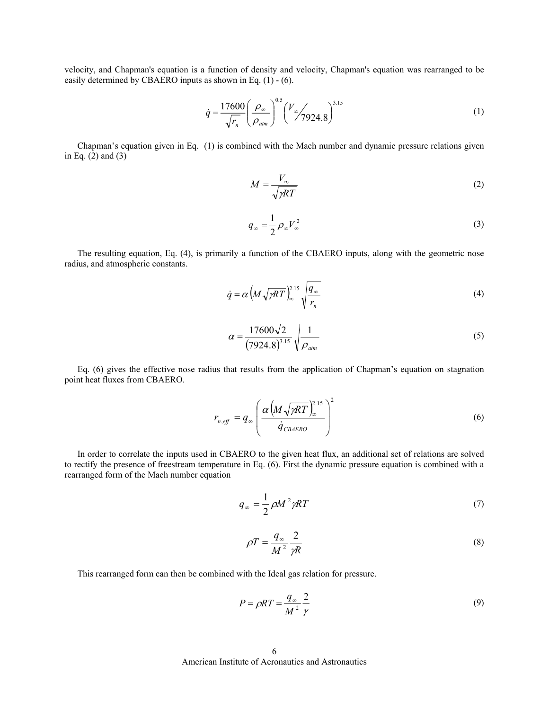velocity, and Chapman's equation is a function of density and velocity, Chapman's equation was rearranged to be easily determined by CBAERO inputs as shown in Eq. (1) - (6).

$$
\dot{q} = \frac{17600}{\sqrt{r_n}} \left(\frac{\rho_{\infty}}{\rho_{\text{atm}}}\right)^{0.5} \left(\frac{V_{\infty}}{7924.8}\right)^{3.15} \tag{1}
$$

Chapman's equation given in Eq. (1) is combined with the Mach number and dynamic pressure relations given in Eq. (2) and (3)

$$
M = \frac{V_{\infty}}{\sqrt{\gamma RT}}
$$
 (2)

$$
q_{\infty} = \frac{1}{2} \rho_{\infty} V_{\infty}^2 \tag{3}
$$

The resulting equation, Eq. (4), is primarily a function of the CBAERO inputs, along with the geometric nose radius, and atmospheric constants.

$$
\dot{q} = \alpha \left( M \sqrt{\gamma RT} \right)_{\infty}^{2.15} \sqrt{\frac{q_{\infty}}{r_n}}
$$
\n(4)

$$
\alpha = \frac{17600\sqrt{2}}{(7924.8)^{3.15}} \sqrt{\frac{1}{\rho_{\text{atm}}}}
$$
(5)

Eq. (6) gives the effective nose radius that results from the application of Chapman's equation on stagnation point heat fluxes from CBAERO.

$$
r_{n,eff} = q_{\infty} \left( \frac{\alpha \left( M \sqrt{\gamma RT} \right)_{\infty}^{2.15}}{\dot{q}_{CBAERO}} \right)^2 \tag{6}
$$

In order to correlate the inputs used in CBAERO to the given heat flux, an additional set of relations are solved to rectify the presence of freestream temperature in Eq. (6). First the dynamic pressure equation is combined with a rearranged form of the Mach number equation

$$
q_{\infty} = \frac{1}{2} \rho M^2 \gamma RT \tag{7}
$$

$$
\rho T = \frac{q_{\infty}}{M^2} \frac{2}{\gamma R} \tag{8}
$$

This rearranged form can then be combined with the Ideal gas relation for pressure.

$$
P = \rho RT = \frac{q_{\infty}}{M^2} \frac{2}{\gamma} \tag{9}
$$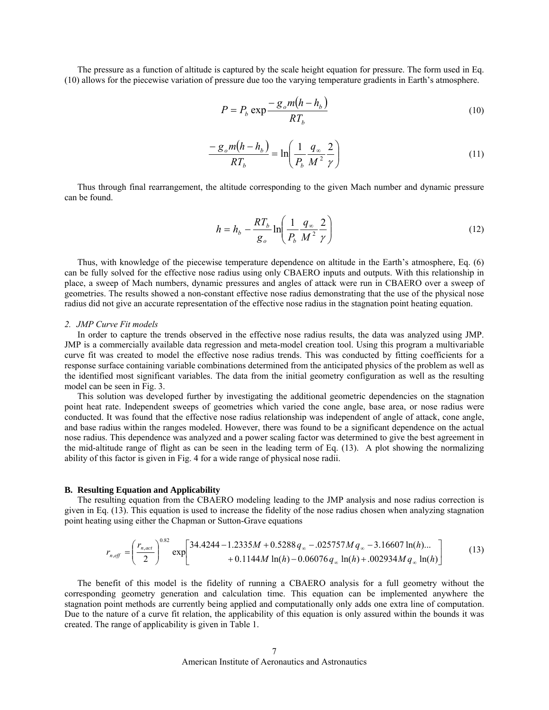The pressure as a function of altitude is captured by the scale height equation for pressure. The form used in Eq. (10) allows for the piecewise variation of pressure due too the varying temperature gradients in Earth's atmosphere.

$$
P = P_b \exp \frac{-g_o m (h - h_b)}{RT_b} \tag{10}
$$

$$
\frac{-g_o m(h - h_b)}{RT_b} = \ln\left(\frac{1}{P_b} \frac{q_\infty}{M^2} \frac{2}{\gamma}\right)
$$
(11)

Thus through final rearrangement, the altitude corresponding to the given Mach number and dynamic pressure can be found.

$$
h = h_b - \frac{RT_b}{g_o} \ln \left( \frac{1}{P_b} \frac{q_\infty}{M^2} \frac{2}{\gamma} \right)
$$
 (12)

Thus, with knowledge of the piecewise temperature dependence on altitude in the Earth's atmosphere, Eq. (6) can be fully solved for the effective nose radius using only CBAERO inputs and outputs. With this relationship in place, a sweep of Mach numbers, dynamic pressures and angles of attack were run in CBAERO over a sweep of geometries. The results showed a non-constant effective nose radius demonstrating that the use of the physical nose radius did not give an accurate representation of the effective nose radius in the stagnation point heating equation.

## *2. JMP Curve Fit models*

In order to capture the trends observed in the effective nose radius results, the data was analyzed using JMP. JMP is a commercially available data regression and meta-model creation tool. Using this program a multivariable curve fit was created to model the effective nose radius trends. This was conducted by fitting coefficients for a response surface containing variable combinations determined from the anticipated physics of the problem as well as the identified most significant variables. The data from the initial geometry configuration as well as the resulting model can be seen in Fig. 3.

This solution was developed further by investigating the additional geometric dependencies on the stagnation point heat rate. Independent sweeps of geometries which varied the cone angle, base area, or nose radius were conducted. It was found that the effective nose radius relationship was independent of angle of attack, cone angle, and base radius within the ranges modeled. However, there was found to be a significant dependence on the actual nose radius. This dependence was analyzed and a power scaling factor was determined to give the best agreement in the mid-altitude range of flight as can be seen in the leading term of Eq. (13). A plot showing the normalizing ability of this factor is given in Fig. 4 for a wide range of physical nose radii.

#### **B. Resulting Equation and Applicability**

The resulting equation from the CBAERO modeling leading to the JMP analysis and nose radius correction is given in Eq. (13). This equation is used to increase the fidelity of the nose radius chosen when analyzing stagnation point heating using either the Chapman or Sutton-Grave equations

$$
r_{n,eff} = \left(\frac{r_{n,act}}{2}\right)^{0.82} \exp\left[\frac{34.4244 - 1.2335M + 0.5288q_{\infty} - 0.025757Mq_{\infty} - 3.16607\ln(h)...}{+0.1144M\ln(h) - 0.06076q_{\infty}\ln(h) + 0.02934Mq_{\infty}\ln(h)}\right]
$$
(13)

The benefit of this model is the fidelity of running a CBAERO analysis for a full geometry without the corresponding geometry generation and calculation time. This equation can be implemented anywhere the stagnation point methods are currently being applied and computationally only adds one extra line of computation. Due to the nature of a curve fit relation, the applicability of this equation is only assured within the bounds it was created. The range of applicability is given in Table 1.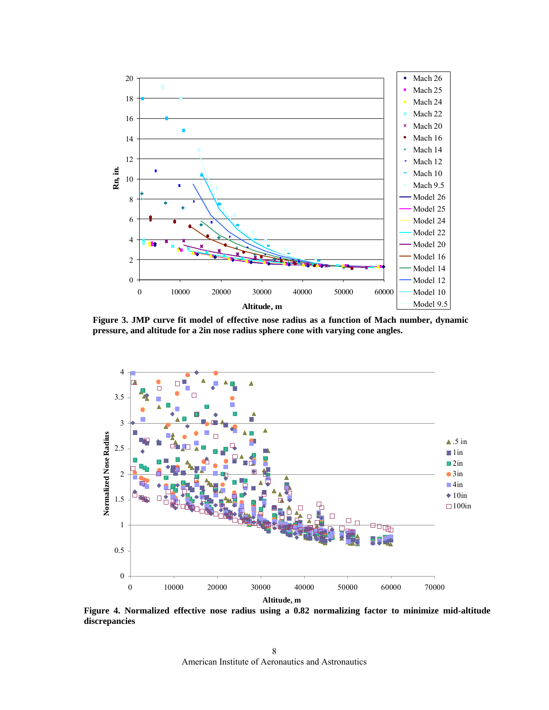

**Figure 3. JMP curve fit model of effective nose radius as a function of Mach number, dynamic pressure, and altitude for a 2in nose radius sphere cone with varying cone angles.** 



**Figure 4. Normalized effective nose radius using a 0.82 normalizing factor to minimize mid-altitude discrepancies**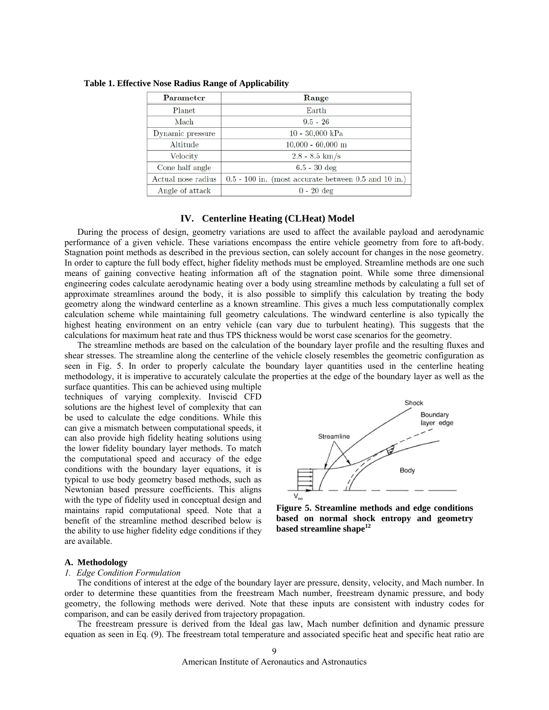| Parameter          | Range                                                  |  |  |
|--------------------|--------------------------------------------------------|--|--|
| Planet             | Earth                                                  |  |  |
| Mach               | $9.5 - 26$                                             |  |  |
| Dynamic pressure   | $10 - 30,000 kPa$                                      |  |  |
| Altitude           | $10,000 - 60,000$ m                                    |  |  |
| Velocity           | $2.8 - 8.5$ km/s                                       |  |  |
| Cone half angle    | $6.5 - 30 \deg$                                        |  |  |
| Actual nose radius | $0.5 - 100$ in. (most accurate between 0.5 and 10 in.) |  |  |
| Angle of attack    | $0 - 20 \text{ deg}$                                   |  |  |

**Table 1. Effective Nose Radius Range of Applicability** 

## **IV. Centerline Heating (CLHeat) Model**

During the process of design, geometry variations are used to affect the available payload and aerodynamic performance of a given vehicle. These variations encompass the entire vehicle geometry from fore to aft-body. Stagnation point methods as described in the previous section, can solely account for changes in the nose geometry. In order to capture the full body effect, higher fidelity methods must be employed. Streamline methods are one such means of gaining convective heating information aft of the stagnation point. While some three dimensional engineering codes calculate aerodynamic heating over a body using streamline methods by calculating a full set of approximate streamlines around the body, it is also possible to simplify this calculation by treating the body geometry along the windward centerline as a known streamline. This gives a much less computationally complex calculation scheme while maintaining full geometry calculations. The windward centerline is also typically the highest heating environment on an entry vehicle (can vary due to turbulent heating). This suggests that the calculations for maximum heat rate and thus TPS thickness would be worst case scenarios for the geometry.

The streamline methods are based on the calculation of the boundary layer profile and the resulting fluxes and shear stresses. The streamline along the centerline of the vehicle closely resembles the geometric configuration as seen in Fig. 5. In order to properly calculate the boundary layer quantities used in the centerline heating methodology, it is imperative to accurately calculate the properties at the edge of the boundary layer as well as the

surface quantities. This can be achieved using multiple techniques of varying complexity. Inviscid CFD solutions are the highest level of complexity that can be used to calculate the edge conditions. While this can give a mismatch between computational speeds, it can also provide high fidelity heating solutions using the lower fidelity boundary layer methods. To match the computational speed and accuracy of the edge conditions with the boundary layer equations, it is typical to use body geometry based methods, such as Newtonian based pressure coefficients. This aligns with the type of fidelity used in conceptual design and maintains rapid computational speed. Note that a benefit of the streamline method described below is the ability to use higher fidelity edge conditions if they are available.



**Figure 5. Streamline methods and edge conditions based on normal shock entropy and geometry based streamline shape**<sup>12</sup>

## **A. Methodology**

#### *1. Edge Condition Formulation*

The conditions of interest at the edge of the boundary layer are pressure, density, velocity, and Mach number. In order to determine these quantities from the freestream Mach number, freestream dynamic pressure, and body geometry, the following methods were derived. Note that these inputs are consistent with industry codes for comparison, and can be easily derived from trajectory propagation.

The freestream pressure is derived from the Ideal gas law, Mach number definition and dynamic pressure equation as seen in Eq. (9). The freestream total temperature and associated specific heat and specific heat ratio are

American Institute of Aeronautics and Astronautics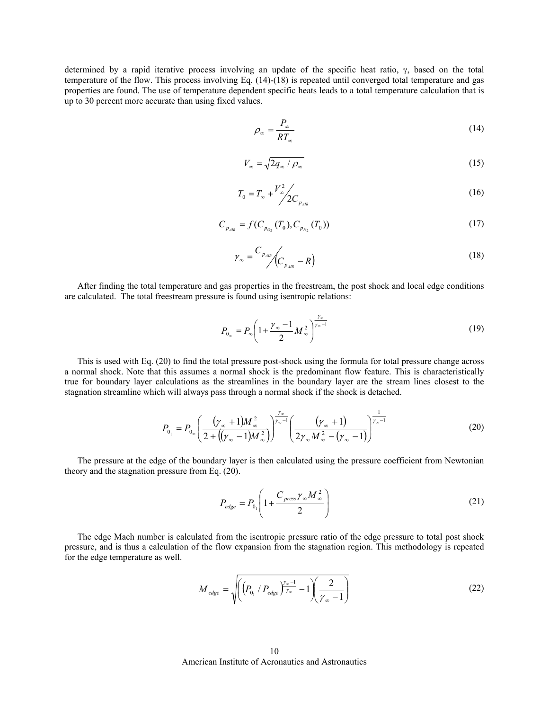determined by a rapid iterative process involving an update of the specific heat ratio, γ, based on the total temperature of the flow. This process involving Eq. (14)-(18) is repeated until converged total temperature and gas properties are found. The use of temperature dependent specific heats leads to a total temperature calculation that is up to 30 percent more accurate than using fixed values.

$$
\rho_{\infty} = \frac{P_{\infty}}{RT_{\infty}} \tag{14}
$$

$$
V_{\infty} = \sqrt{2q_{\infty} / \rho_{\infty}}
$$
 (15)

$$
T_0 = T_{\infty} + \frac{V_{\infty}^2}{2C_{p_{AB}}} \tag{16}
$$

$$
C_{p_{AIR}} = f(C_{p_{O_2}}(T_0), C_{p_{N_2}}(T_0))
$$
\n(17)

$$
\gamma_{\infty} = \frac{C_{p_{AIR}}}{C_{p_{AIR}} - R} \tag{18}
$$

After finding the total temperature and gas properties in the freestream, the post shock and local edge conditions are calculated. The total freestream pressure is found using isentropic relations:

$$
P_{0_{\infty}} = P_{\infty} \left( 1 + \frac{\gamma_{\infty} - 1}{2} M_{\infty}^2 \right)^{\frac{\gamma_{\infty}}{\gamma_{\infty} - 1}}
$$
(19)

This is used with Eq. (20) to find the total pressure post-shock using the formula for total pressure change across a normal shock. Note that this assumes a normal shock is the predominant flow feature. This is characteristically true for boundary layer calculations as the streamlines in the boundary layer are the stream lines closest to the stagnation streamline which will always pass through a normal shock if the shock is detached.

$$
P_{0_1} = P_{0_{\infty}} \left( \frac{(\gamma_{\infty} + 1) M_{\infty}^2}{2 + ((\gamma_{\infty} - 1) M_{\infty}^2)} \right)^{\frac{\gamma_{\infty}}{\gamma_{\infty}-1}} \left( \frac{(\gamma_{\infty} + 1)}{2 \gamma_{\infty} M_{\infty}^2 - (\gamma_{\infty} - 1)} \right)^{\frac{1}{\gamma_{\infty}-1}}
$$
(20)

The pressure at the edge of the boundary layer is then calculated using the pressure coefficient from Newtonian theory and the stagnation pressure from Eq. (20).

$$
P_{edge} = P_{0_1} \left( 1 + \frac{C_{press} \gamma_{\infty} M_{\infty}^2}{2} \right)
$$
 (21)

The edge Mach number is calculated from the isentropic pressure ratio of the edge pressure to total post shock pressure, and is thus a calculation of the flow expansion from the stagnation region. This methodology is repeated for the edge temperature as well.

$$
M_{\text{edge}} = \sqrt{\left( \left( P_{0_1} / P_{\text{edge}} \right)^{\frac{\gamma_{\infty} - 1}{\gamma_{\infty}}} - 1 \right) \left( \frac{2}{\gamma_{\infty} - 1} \right)} \tag{22}
$$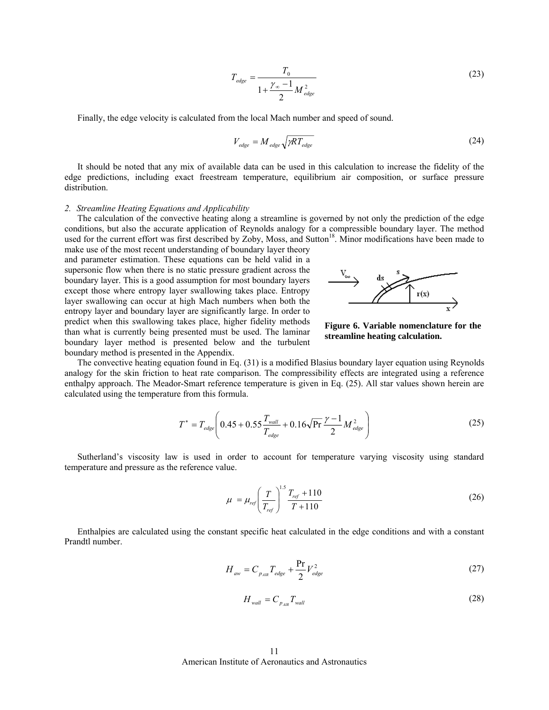$$
T_{edge} = \frac{T_0}{1 + \frac{\gamma_{\infty} - 1}{2} M_{edge}^2}
$$
 (23)

Finally, the edge velocity is calculated from the local Mach number and speed of sound.

$$
V_{edge} = M_{edge} \sqrt{pRT_{edge}}
$$
 (24)

It should be noted that any mix of available data can be used in this calculation to increase the fidelity of the edge predictions, including exact freestream temperature, equilibrium air composition, or surface pressure distribution.

#### *2. Streamline Heating Equations and Applicability*

The calculation of the convective heating along a streamline is governed by not only the prediction of the edge conditions, but also the accurate application of Reynolds analogy for a compressible boundary layer. The method used for the current effort was first described by Zoby, Moss, and Sutton<sup>18</sup>. Minor modifications have been made to

make use of the most recent understanding of boundary layer theory and parameter estimation. These equations can be held valid in a supersonic flow when there is no static pressure gradient across the boundary layer. This is a good assumption for most boundary layers except those where entropy layer swallowing takes place. Entropy layer swallowing can occur at high Mach numbers when both the entropy layer and boundary layer are significantly large. In order to predict when this swallowing takes place, higher fidelity methods than what is currently being presented must be used. The laminar boundary layer method is presented below and the turbulent boundary method is presented in the Appendix.



**Figure 6. Variable nomenclature for the streamline heating calculation.** 

The convective heating equation found in Eq. (31) is a modified Blasius boundary layer equation using Reynolds analogy for the skin friction to heat rate comparison. The compressibility effects are integrated using a reference enthalpy approach. The Meador-Smart reference temperature is given in Eq. (25). All star values shown herein are calculated using the temperature from this formula.

$$
T^* = T_{edge} \left( 0.45 + 0.55 \frac{T_{wall}}{T_{edge}} + 0.16 \sqrt{\Pr} \frac{\gamma - 1}{2} M_{edge}^2 \right)
$$
 (25)

Sutherland's viscosity law is used in order to account for temperature varying viscosity using standard temperature and pressure as the reference value.

$$
\mu = \mu_{ref} \left(\frac{T}{T_{ref}}\right)^{1.5} \frac{T_{ref} + 110}{T + 110} \tag{26}
$$

Enthalpies are calculated using the constant specific heat calculated in the edge conditions and with a constant Prandtl number.

$$
H_{aw} = C_{p_{AIR}} T_{edge} + \frac{\Pr}{2} V_{edge}^2
$$
 (27)

$$
H_{wall} = C_{p_{AIR}} T_{wall} \tag{28}
$$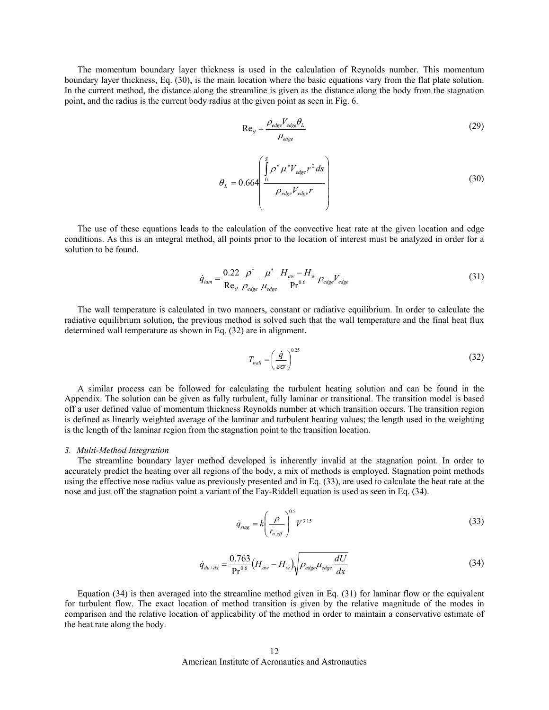The momentum boundary layer thickness is used in the calculation of Reynolds number. This momentum boundary layer thickness, Eq. (30), is the main location where the basic equations vary from the flat plate solution. In the current method, the distance along the streamline is given as the distance along the body from the stagnation point, and the radius is the current body radius at the given point as seen in Fig. 6.

$$
\text{Re}_{\theta} = \frac{\rho_{\text{edge}} V_{\text{edge}} \theta_L}{\mu_{\text{edge}}}
$$
 (29)

$$
\theta_{L} = 0.664 \left( \frac{\int_{0}^{S} \rho^* \mu^* V_{edge} r^2 ds}{\rho_{edge} V_{edge} r} \right)
$$
\n(30)

The use of these equations leads to the calculation of the convective heat rate at the given location and edge conditions. As this is an integral method, all points prior to the location of interest must be analyzed in order for a solution to be found.

$$
\dot{q}_{lam} = \frac{0.22}{\text{Re}_{\theta}} \frac{\rho^*}{\rho_{edge}} \frac{\mu^*}{\mu_{edge}} \frac{H_{aw} - H_w}{\text{Pr}^{0.6}} \rho_{edge} V_{edge}
$$
(31)

The wall temperature is calculated in two manners, constant or radiative equilibrium. In order to calculate the radiative equilibrium solution, the previous method is solved such that the wall temperature and the final heat flux determined wall temperature as shown in Eq. (32) are in alignment.

$$
T_{wall} = \left(\frac{\dot{q}}{\varepsilon \sigma}\right)^{0.25} \tag{32}
$$

A similar process can be followed for calculating the turbulent heating solution and can be found in the Appendix. The solution can be given as fully turbulent, fully laminar or transitional. The transition model is based off a user defined value of momentum thickness Reynolds number at which transition occurs. The transition region is defined as linearly weighted average of the laminar and turbulent heating values; the length used in the weighting is the length of the laminar region from the stagnation point to the transition location.

#### *3. Multi-Method Integration*

The streamline boundary layer method developed is inherently invalid at the stagnation point. In order to accurately predict the heating over all regions of the body, a mix of methods is employed. Stagnation point methods using the effective nose radius value as previously presented and in Eq. (33), are used to calculate the heat rate at the nose and just off the stagnation point a variant of the Fay-Riddell equation is used as seen in Eq. (34).

$$
\dot{q}_{\text{stag}} = k \left( \frac{\rho}{r_{n,\text{eff}}} \right)^{0.5} V^{3.15} \tag{33}
$$

$$
\dot{q}_{du/dx} = \frac{0.763}{\text{Pr}^{0.6}} \left( H_{aw} - H_w \right) \sqrt{\rho_{edge} \mu_{edge} \mu_{edge} \frac{dU}{dx}}
$$
(34)

Equation (34) is then averaged into the streamline method given in Eq. (31) for laminar flow or the equivalent for turbulent flow. The exact location of method transition is given by the relative magnitude of the modes in comparison and the relative location of applicability of the method in order to maintain a conservative estimate of the heat rate along the body.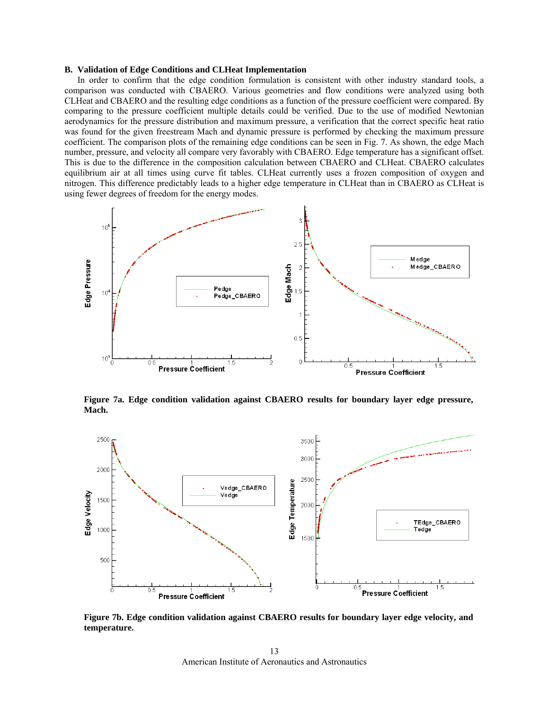#### **B. Validation of Edge Conditions and CLHeat Implementation**

In order to confirm that the edge condition formulation is consistent with other industry standard tools, a comparison was conducted with CBAERO. Various geometries and flow conditions were analyzed using both CLHeat and CBAERO and the resulting edge conditions as a function of the pressure coefficient were compared. By comparing to the pressure coefficient multiple details could be verified. Due to the use of modified Newtonian aerodynamics for the pressure distribution and maximum pressure, a verification that the correct specific heat ratio was found for the given freestream Mach and dynamic pressure is performed by checking the maximum pressure coefficient. The comparison plots of the remaining edge conditions can be seen in Fig. 7. As shown, the edge Mach number, pressure, and velocity all compare very favorably with CBAERO. Edge temperature has a significant offset. This is due to the difference in the composition calculation between CBAERO and CLHeat. CBAERO calculates equilibrium air at all times using curve fit tables. CLHeat currently uses a frozen composition of oxygen and nitrogen. This difference predictably leads to a higher edge temperature in CLHeat than in CBAERO as CLHeat is using fewer degrees of freedom for the energy modes.



**Figure 7a. Edge condition validation against CBAERO results for boundary layer edge pressure, Mach.** 



**Figure 7b. Edge condition validation against CBAERO results for boundary layer edge velocity, and temperature.**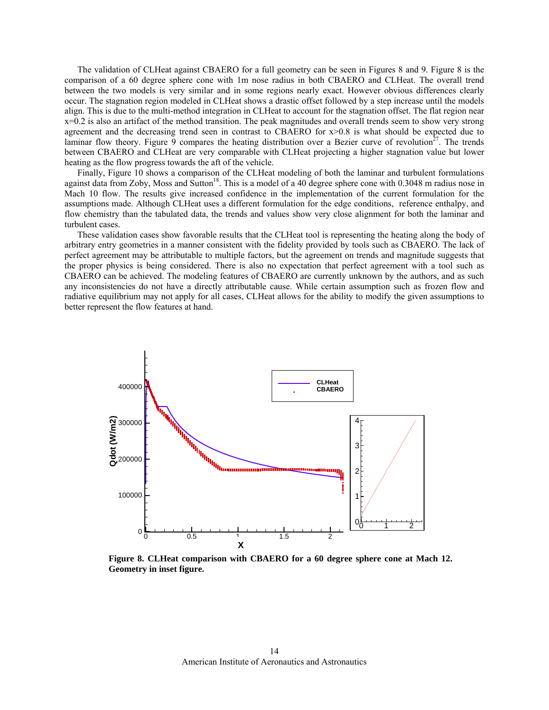The validation of CLHeat against CBAERO for a full geometry can be seen in Figures 8 and 9. Figure 8 is the comparison of a 60 degree sphere cone with 1m nose radius in both CBAERO and CLHeat. The overall trend between the two models is very similar and in some regions nearly exact. However obvious differences clearly occur. The stagnation region modeled in CLHeat shows a drastic offset followed by a step increase until the models align. This is due to the multi-method integration in CLHeat to account for the stagnation offset. The flat region near  $x=0.2$  is also an artifact of the method transition. The peak magnitudes and overall trends seem to show very strong agreement and the decreasing trend seen in contrast to CBAERO for x>0.8 is what should be expected due to laminar flow theory. Figure  $\frac{3}{9}$  compares the heating distribution over a Bezier curve of revolution<sup>27</sup>. The trends between CBAERO and CLHeat are very comparable with CLHeat projecting a higher stagnation value but lower heating as the flow progress towards the aft of the vehicle.

 Finally, Figure 10 shows a comparison of the CLHeat modeling of both the laminar and turbulent formulations against data from Zoby, Moss and Sutton<sup>18</sup>. This is a model of a 40 degree sphere cone with 0.3048 m radius nose in Mach 10 flow. The results give increased confidence in the implementation of the current formulation for the assumptions made. Although CLHeat uses a different formulation for the edge conditions, reference enthalpy, and flow chemistry than the tabulated data, the trends and values show very close alignment for both the laminar and turbulent cases.

These validation cases show favorable results that the CLHeat tool is representing the heating along the body of arbitrary entry geometries in a manner consistent with the fidelity provided by tools such as CBAERO. The lack of perfect agreement may be attributable to multiple factors, but the agreement on trends and magnitude suggests that the proper physics is being considered. There is also no expectation that perfect agreement with a tool such as CBAERO can be achieved. The modeling features of CBAERO are currently unknown by the authors, and as such any inconsistencies do not have a directly attributable cause. While certain assumption such as frozen flow and radiative equilibrium may not apply for all cases, CLHeat allows for the ability to modify the given assumptions to better represent the flow features at hand.



**Figure 8. CLHeat comparison with CBAERO for a 60 degree sphere cone at Mach 12. Geometry in inset figure.**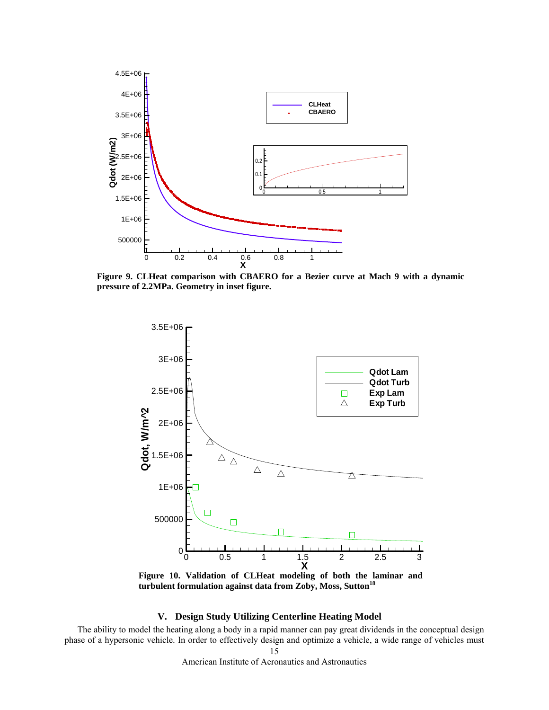

**Figure 9. CLHeat comparison with CBAERO for a Bezier curve at Mach 9 with a dynamic pressure of 2.2MPa. Geometry in inset figure.** 



**Figure 10. Validation of CLHeat modeling of both the laminar and**  turbulent formulation against data from Zoby, Moss, Sutton<sup>18</sup>

## **V. Design Study Utilizing Centerline Heating Model**

The ability to model the heating along a body in a rapid manner can pay great dividends in the conceptual design phase of a hypersonic vehicle. In order to effectively design and optimize a vehicle, a wide range of vehicles must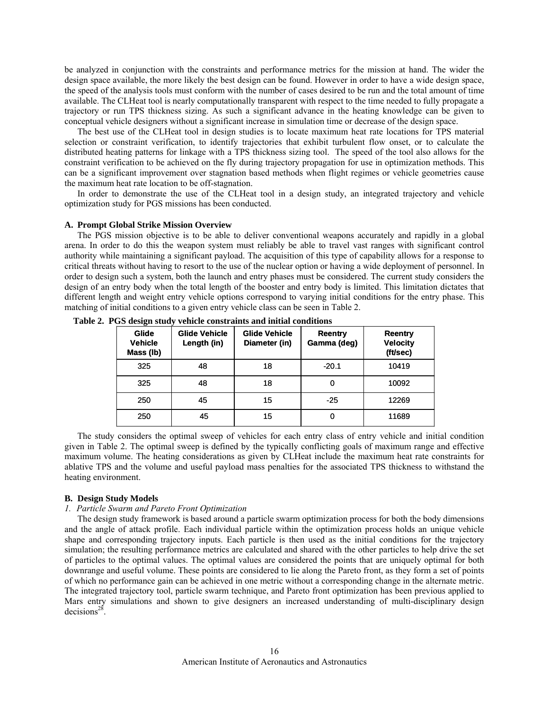be analyzed in conjunction with the constraints and performance metrics for the mission at hand. The wider the design space available, the more likely the best design can be found. However in order to have a wide design space, the speed of the analysis tools must conform with the number of cases desired to be run and the total amount of time available. The CLHeat tool is nearly computationally transparent with respect to the time needed to fully propagate a trajectory or run TPS thickness sizing. As such a significant advance in the heating knowledge can be given to conceptual vehicle designers without a significant increase in simulation time or decrease of the design space.

The best use of the CLHeat tool in design studies is to locate maximum heat rate locations for TPS material selection or constraint verification, to identify trajectories that exhibit turbulent flow onset, or to calculate the distributed heating patterns for linkage with a TPS thickness sizing tool. The speed of the tool also allows for the constraint verification to be achieved on the fly during trajectory propagation for use in optimization methods. This can be a significant improvement over stagnation based methods when flight regimes or vehicle geometries cause the maximum heat rate location to be off-stagnation.

In order to demonstrate the use of the CLHeat tool in a design study, an integrated trajectory and vehicle optimization study for PGS missions has been conducted.

#### **A. Prompt Global Strike Mission Overview**

The PGS mission objective is to be able to deliver conventional weapons accurately and rapidly in a global arena. In order to do this the weapon system must reliably be able to travel vast ranges with significant control authority while maintaining a significant payload. The acquisition of this type of capability allows for a response to critical threats without having to resort to the use of the nuclear option or having a wide deployment of personnel. In order to design such a system, both the launch and entry phases must be considered. The current study considers the design of an entry body when the total length of the booster and entry body is limited. This limitation dictates that different length and weight entry vehicle options correspond to varying initial conditions for the entry phase. This matching of initial conditions to a given entry vehicle class can be seen in Table 2.

| Glide<br><b>Vehicle</b><br>Mass (lb) | <b>Glide Vehicle</b><br>Length (in) | <b>Glide Vehicle</b><br>Diameter (in) | Reentry<br>Gamma (deg) | Reentry<br><b>Velocity</b><br>(ft/sec) |
|--------------------------------------|-------------------------------------|---------------------------------------|------------------------|----------------------------------------|
| 325                                  | 48                                  | 18                                    | $-20.1$                | 10419                                  |
| 325                                  | 48                                  | 18                                    | 0                      | 10092                                  |
| 250                                  | 45                                  | 15                                    | $-25$                  | 12269                                  |
| 250                                  | 45                                  | 15                                    | 0                      | 11689                                  |

 **Table 2. PGS design study vehicle constraints and initial conditions** 

The study considers the optimal sweep of vehicles for each entry class of entry vehicle and initial condition given in Table 2. The optimal sweep is defined by the typically conflicting goals of maximum range and effective maximum volume. The heating considerations as given by CLHeat include the maximum heat rate constraints for ablative TPS and the volume and useful payload mass penalties for the associated TPS thickness to withstand the heating environment.

## **B. Design Study Models**

## *1. Particle Swarm and Pareto Front Optimization*

The design study framework is based around a particle swarm optimization process for both the body dimensions and the angle of attack profile. Each individual particle within the optimization process holds an unique vehicle shape and corresponding trajectory inputs. Each particle is then used as the initial conditions for the trajectory simulation; the resulting performance metrics are calculated and shared with the other particles to help drive the set of particles to the optimal values. The optimal values are considered the points that are uniquely optimal for both downrange and useful volume. These points are considered to lie along the Pareto front, as they form a set of points of which no performance gain can be achieved in one metric without a corresponding change in the alternate metric. The integrated trajectory tool, particle swarm technique, and Pareto front optimization has been previous applied to Mars entry simulations and shown to give designers an increased understanding of multi-disciplinary design decisions<sup>28</sup>.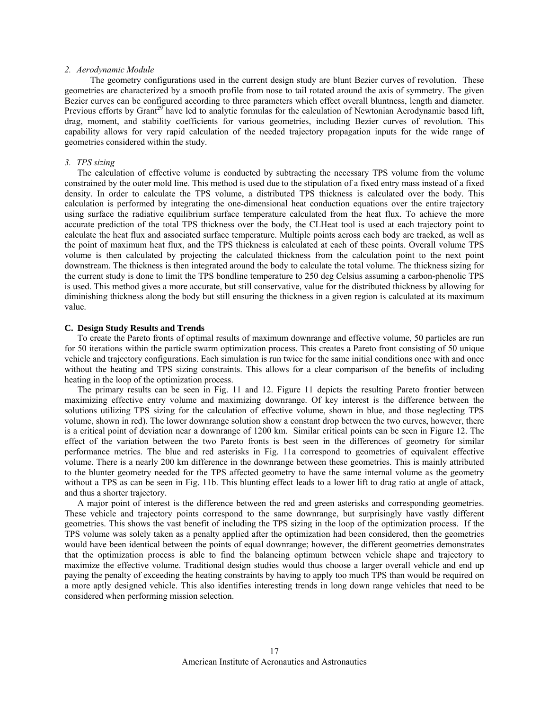#### *2. Aerodynamic Module*

 The geometry configurations used in the current design study are blunt Bezier curves of revolution. These geometries are characterized by a smooth profile from nose to tail rotated around the axis of symmetry. The given Bezier curves can be configured according to three parameters which effect overall bluntness, length and diameter. Previous efforts by Grant<sup>29</sup> have led to analytic formulas for the calculation of Newtonian Aerodynamic based lift, drag, moment, and stability coefficients for various geometries, including Bezier curves of revolution. This capability allows for very rapid calculation of the needed trajectory propagation inputs for the wide range of geometries considered within the study.

## *3. TPS sizing*

The calculation of effective volume is conducted by subtracting the necessary TPS volume from the volume constrained by the outer mold line. This method is used due to the stipulation of a fixed entry mass instead of a fixed density. In order to calculate the TPS volume, a distributed TPS thickness is calculated over the body. This calculation is performed by integrating the one-dimensional heat conduction equations over the entire trajectory using surface the radiative equilibrium surface temperature calculated from the heat flux. To achieve the more accurate prediction of the total TPS thickness over the body, the CLHeat tool is used at each trajectory point to calculate the heat flux and associated surface temperature. Multiple points across each body are tracked, as well as the point of maximum heat flux, and the TPS thickness is calculated at each of these points. Overall volume TPS volume is then calculated by projecting the calculated thickness from the calculation point to the next point downstream. The thickness is then integrated around the body to calculate the total volume. The thickness sizing for the current study is done to limit the TPS bondline temperature to 250 deg Celsius assuming a carbon-phenolic TPS is used. This method gives a more accurate, but still conservative, value for the distributed thickness by allowing for diminishing thickness along the body but still ensuring the thickness in a given region is calculated at its maximum value.

#### **C. Design Study Results and Trends**

To create the Pareto fronts of optimal results of maximum downrange and effective volume, 50 particles are run for 50 iterations within the particle swarm optimization process. This creates a Pareto front consisting of 50 unique vehicle and trajectory configurations. Each simulation is run twice for the same initial conditions once with and once without the heating and TPS sizing constraints. This allows for a clear comparison of the benefits of including heating in the loop of the optimization process.

The primary results can be seen in Fig. 11 and 12. Figure 11 depicts the resulting Pareto frontier between maximizing effective entry volume and maximizing downrange. Of key interest is the difference between the solutions utilizing TPS sizing for the calculation of effective volume, shown in blue, and those neglecting TPS volume, shown in red). The lower downrange solution show a constant drop between the two curves, however, there is a critical point of deviation near a downrange of 1200 km. Similar critical points can be seen in Figure 12. The effect of the variation between the two Pareto fronts is best seen in the differences of geometry for similar performance metrics. The blue and red asterisks in Fig. 11a correspond to geometries of equivalent effective volume. There is a nearly 200 km difference in the downrange between these geometries. This is mainly attributed to the blunter geometry needed for the TPS affected geometry to have the same internal volume as the geometry without a TPS as can be seen in Fig. 11b. This blunting effect leads to a lower lift to drag ratio at angle of attack, and thus a shorter trajectory.

A major point of interest is the difference between the red and green asterisks and corresponding geometries. These vehicle and trajectory points correspond to the same downrange, but surprisingly have vastly different geometries. This shows the vast benefit of including the TPS sizing in the loop of the optimization process. If the TPS volume was solely taken as a penalty applied after the optimization had been considered, then the geometries would have been identical between the points of equal downrange; however, the different geometries demonstrates that the optimization process is able to find the balancing optimum between vehicle shape and trajectory to maximize the effective volume. Traditional design studies would thus choose a larger overall vehicle and end up paying the penalty of exceeding the heating constraints by having to apply too much TPS than would be required on a more aptly designed vehicle. This also identifies interesting trends in long down range vehicles that need to be considered when performing mission selection.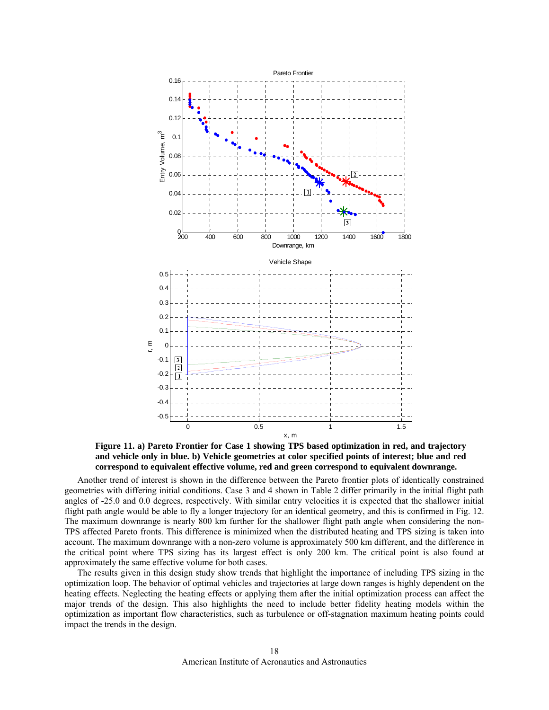

**Figure 11. a) Pareto Frontier for Case 1 showing TPS based optimization in red, and trajectory and vehicle only in blue. b) Vehicle geometries at color specified points of interest; blue and red correspond to equivalent effective volume, red and green correspond to equivalent downrange.** 

Another trend of interest is shown in the difference between the Pareto frontier plots of identically constrained geometries with differing initial conditions. Case 3 and 4 shown in Table 2 differ primarily in the initial flight path angles of -25.0 and 0.0 degrees, respectively. With similar entry velocities it is expected that the shallower initial flight path angle would be able to fly a longer trajectory for an identical geometry, and this is confirmed in Fig. 12. The maximum downrange is nearly 800 km further for the shallower flight path angle when considering the non-TPS affected Pareto fronts. This difference is minimized when the distributed heating and TPS sizing is taken into account. The maximum downrange with a non-zero volume is approximately 500 km different, and the difference in the critical point where TPS sizing has its largest effect is only 200 km. The critical point is also found at approximately the same effective volume for both cases.

The results given in this design study show trends that highlight the importance of including TPS sizing in the optimization loop. The behavior of optimal vehicles and trajectories at large down ranges is highly dependent on the heating effects. Neglecting the heating effects or applying them after the initial optimization process can affect the major trends of the design. This also highlights the need to include better fidelity heating models within the optimization as important flow characteristics, such as turbulence or off-stagnation maximum heating points could impact the trends in the design.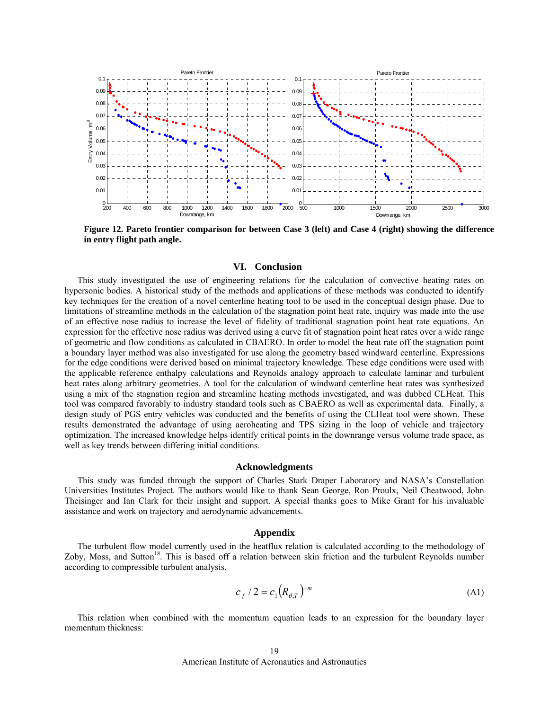

**Figure 12. Pareto frontier comparison for between Case 3 (left) and Case 4 (right) showing the difference in entry flight path angle.** 

#### **VI. Conclusion**

This study investigated the use of engineering relations for the calculation of convective heating rates on hypersonic bodies. A historical study of the methods and applications of these methods was conducted to identify key techniques for the creation of a novel centerline heating tool to be used in the conceptual design phase. Due to limitations of streamline methods in the calculation of the stagnation point heat rate, inquiry was made into the use of an effective nose radius to increase the level of fidelity of traditional stagnation point heat rate equations. An expression for the effective nose radius was derived using a curve fit of stagnation point heat rates over a wide range of geometric and flow conditions as calculated in CBAERO. In order to model the heat rate off the stagnation point a boundary layer method was also investigated for use along the geometry based windward centerline. Expressions for the edge conditions were derived based on minimal trajectory knowledge. These edge conditions were used with the applicable reference enthalpy calculations and Reynolds analogy approach to calculate laminar and turbulent heat rates along arbitrary geometries. A tool for the calculation of windward centerline heat rates was synthesized using a mix of the stagnation region and streamline heating methods investigated, and was dubbed CLHeat. This tool was compared favorably to industry standard tools such as CBAERO as well as experimental data. Finally, a design study of PGS entry vehicles was conducted and the benefits of using the CLHeat tool were shown. These results demonstrated the advantage of using aeroheating and TPS sizing in the loop of vehicle and trajectory optimization. The increased knowledge helps identify critical points in the downrange versus volume trade space, as well as key trends between differing initial conditions.

#### **Acknowledgments**

This study was funded through the support of Charles Stark Draper Laboratory and NASA's Constellation Universities Institutes Project. The authors would like to thank Sean George, Ron Proulx, Neil Cheatwood, John Theisinger and Ian Clark for their insight and support. A special thanks goes to Mike Grant for his invaluable assistance and work on trajectory and aerodynamic advancements.

## **Appendix**

The turbulent flow model currently used in the heatflux relation is calculated according to the methodology of Zoby, Moss, and Sutton<sup>18</sup>. This is based off a relation between skin friction and the turbulent Reynolds number according to compressible turbulent analysis.

$$
c_f / 2 = c_1 (R_{\theta, T})^{-m}
$$
 (A1)

This relation when combined with the momentum equation leads to an expression for the boundary layer momentum thickness: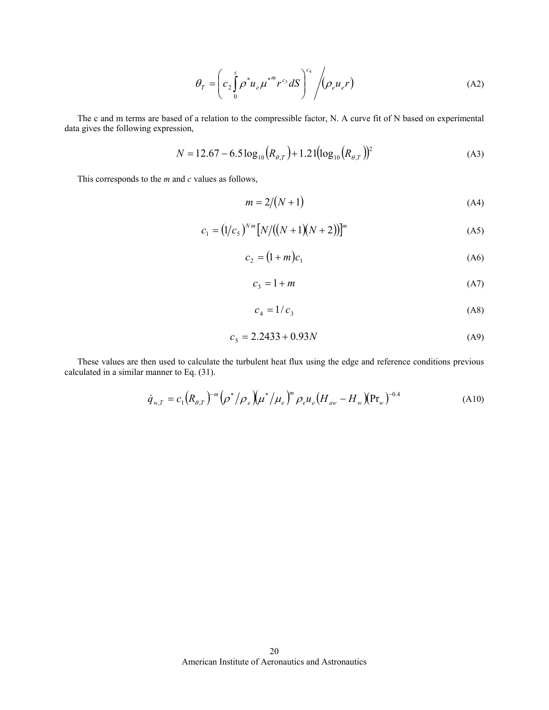$$
\theta_T = \left(c_2 \int_0^s \rho^* u_e \mu^{*m} r^{c_3} dS\right)^{c_4} / (\rho_e u_e r) \tag{A2}
$$

The c and m terms are based of a relation to the compressible factor, N. A curve fit of N based on experimental data gives the following expression,

$$
N = 12.67 - 6.5 \log_{10} (R_{\theta, T}) + 1.21 (\log_{10} (R_{\theta, T}))^2
$$
 (A3)

This corresponds to the *m* and *c* values as follows,

$$
m = 2/(N+1) \tag{A4}
$$

$$
c_1 = (1/c_5)^{Nm} [N/((N+1)(N+2))]^m
$$
 (A5)

$$
c_2 = (1+m)c_1 \tag{A6}
$$

$$
c_3 = 1 + m \tag{A7}
$$

$$
c_4 = 1/c_3 \tag{A8}
$$

$$
c_5 = 2.2433 + 0.93N\tag{A9}
$$

These values are then used to calculate the turbulent heat flux using the edge and reference conditions previous calculated in a similar manner to Eq. (31).

$$
\dot{q}_{w,T} = c_1 (R_{\theta,T})^{-m} \left( \rho^* / \rho_e \right) \left( \mu^* / \mu_e \right)^m \rho_e u_e (H_{aw} - H_w) (\text{Pr}_w)^{-0.4}
$$
(A10)